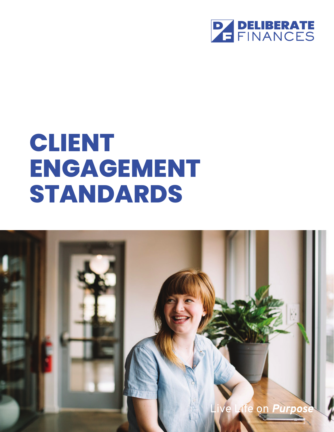

# **CLIENT ENGAGEMENT STANDARDS**

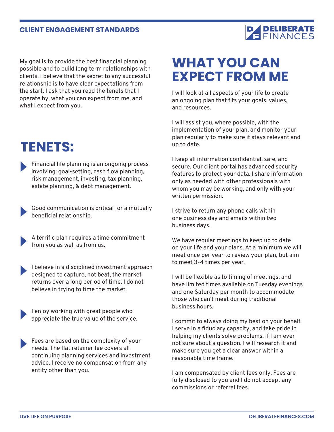#### **CLIENT ENGAGEMENT STANDARDS**



My goal is to provide the best financial planning possible and to build long term relationships with clients. I believe that the secret to any successful relationship is to have clear expectations from the start. I ask that you read the tenets that I operate by, what you can expect from me, and what I expect from you.

### **TENETS:**

Financial life planning is an ongoing process involving: goal-setting, cash flow planning, risk management, investing, tax planning, estate planning, & debt management.

Good communication is critical for a mutually beneficial relationship.

A terrific plan requires a time commitment from you as well as from us.

I believe in a disciplined investment approach designed to capture, not beat, the market returns over a long period of time. I do not believe in trying to time the market.

I enjoy working with great people who appreciate the true value of the service.

Fees are based on the complexity of your needs. The flat retainer fee covers all continuing planning services and investment advice. I receive no compensation from any entity other than you.

## **WHAT YOU CAN EXPECT FROM ME**

I will look at all aspects of your life to create an ongoing plan that fits your goals, values, and resources.

I will assist you, where possible, with the implementation of your plan, and monitor your plan regularly to make sure it stays relevant and up to date.

I keep all information confidential, safe, and secure. Our client portal has advanced security features to protect your data. I share information only as needed with other professionals with whom you may be working, and only with your written permission.

I strive to return any phone calls within one business day and emails within two business days.

We have regular meetings to keep up to date on your life and your plans. At a minimum we will meet once per year to review your plan, but aim to meet 3-4 times per year.

I will be flexible as to timing of meetings, and have limited times available on Tuesday evenings and one Saturday per month to accommodate those who can't meet during traditional business hours.

I commit to always doing my best on your behalf. I serve in a fiduciary capacity, and take pride in helping my clients solve problems. If I am ever not sure about a question, I will research it and make sure you get a clear answer within a reasonable time frame.

I am compensated by client fees only. Fees are fully disclosed to you and I do not accept any commissions or referral fees.